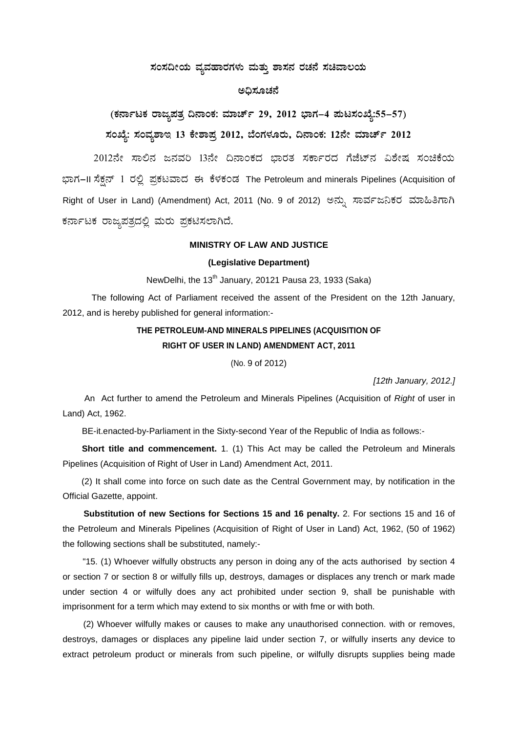# ಸಂಸದೀಯ ವ್ಯವಹಾರಗಳು ಮತ್ತು ಶಾಸನ ರಚನೆ ಸಚಿವಾಲಯ

## ಅಧಿಸೂಚನೆ

(ಕರ್ನಾಟಕ ರಾಜ್ಯಪತ್ರ ದಿನಾಂಕ: ಮಾರ್ಚ್ 29, 2012 ಭಾಗ–4 ಪುಟಸಂಖ್ಯೆ:55–57) ಸಂಖ್ಯೆ: ಸಂವ್ನಶಾಇ 13 ಕೇಶಾಪ್ತ 2012, ಬೆಂಗಳೂರು, ದಿನಾಂಕ: 12ನೇ ಮಾರ್ಚ್ 2012

2012ನೇ ಸಾಲಿನ ಜನವರಿ 13ನೇ ದಿನಾಂಕದ ಭಾರತ ಸರ್ಕಾರದ ಗೆಜೆಟ್ನ ವಿಶೇಷ ಸಂಚಿಕೆಯ ಭಾಗ-II ಸೆಕ್ಷನ್ 1 ರಲ್ಲಿ ಪ್ರಕಟವಾದ ಈ ಕೆಳಕಂಡ The Petroleum and minerals Pipelines (Acquisition of Right of User in Land) (Amendment) Act, 2011 (No. 9 of 2012) ಅನ್ನು ಸಾರ್ವಜನಿಕರ ಮಾಹಿತಿಗಾಗಿ ಕರ್ನಾಟಕ ರಾಜ್ಯಪತ್ರದಲ್ಲಿ ಮರು ಪ್ರಕಟಿಸಲಾಗಿದೆ.

### **MINISTRY OF LAW AND JUSTICE**

## (Legislative Department)

NewDelhi, the 13<sup>th</sup> January, 20121 Pausa 23, 1933 (Saka)

The following Act of Parliament received the assent of the President on the 12th January, 2012, and is hereby published for general information:-

# THE PETROLEUM-AND MINERALS PIPELINES (ACQUISITION OF RIGHT OF USER IN LAND) AMENDMENT ACT, 2011

(No. 9 of 2012)

[12th January, 2012.]

An Act further to amend the Petroleum and Minerals Pipelines (Acquisition of Right of user in Land) Act, 1962.

BE-it.enacted-by-Parliament in the Sixty-second Year of the Republic of India as follows:-

Short title and commencement. 1. (1) This Act may be called the Petroleum and Minerals Pipelines (Acquisition of Right of User in Land) Amendment Act, 2011.

(2) It shall come into force on such date as the Central Government may, by notification in the Official Gazette, appoint.

Substitution of new Sections for Sections 15 and 16 penalty. 2. For sections 15 and 16 of the Petroleum and Minerals Pipelines (Acquisition of Right of User in Land) Act, 1962, (50 of 1962) the following sections shall be substituted, namely:-

"15. (1) Whoever wilfully obstructs any person in doing any of the acts authorised by section 4 or section 7 or section 8 or wilfully fills up, destroys, damages or displaces any trench or mark made under section 4 or wilfully does any act prohibited under section 9, shall be punishable with imprisonment for a term which may extend to six months or with fme or with both.

(2) Whoever wilfully makes or causes to make any unauthorised connection, with or removes, destroys, damages or displaces any pipeline laid under section 7, or wilfully inserts any device to extract petroleum product or minerals from such pipeline, or wilfully disrupts supplies being made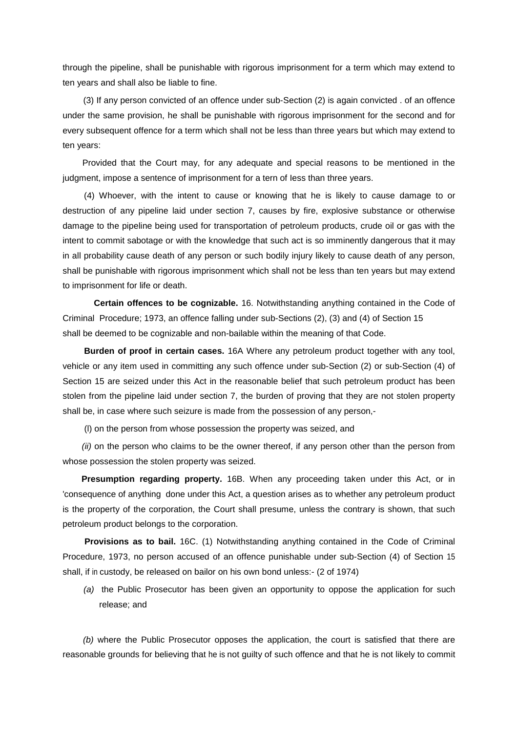through the pipeline, shall be punishable with rigorous imprisonment for a term which may extend to ten years and shall also be liable to fine.

(3) If any person convicted of an offence under sub-Section (2) is again convicted . of an offence under the same provision, he shall be punishable with rigorous imprisonment for the second and for every subsequent offence for a term which shall not be less than three years but which may extend to ten years:

Provided that the Court may, for any adequate and special reasons to be mentioned in the judgment, impose a sentence of imprisonment for a tern of Iess than three years.

(4) Whoever, with the intent to cause or knowing that he is likely to cause damage to or destruction of any pipeline laid under section 7, causes by fire, explosive substance or otherwise damage to the pipeline being used for transportation of petroleum products, crude oil or gas with the intent to commit sabotage or with the knowledge that such act is so imminently dangerous that it may in all probability cause death of any person or such bodily injury likely to cause death of any person, shall be punishable with rigorous imprisonment which shall not be less than ten years but may extend to imprisonment for life or death.

 **Certain offences to be cognizable.** 16. Notwithstanding anything contained in the Code of Criminal Procedure; 1973, an offence falling under sub-Sections (2), (3) and (4) of Section 15 shall be deemed to be cognizable and non-bailable within the meaning of that Code.

**Burden of proof in certain cases.** 16A Where any petroleum product together with any tool, vehicle or any item used in committing any such offence under sub-Section (2) or sub-Section (4) of Section 15 are seized under this Act in the reasonable belief that such petroleum product has been stolen from the pipeline laid under section 7, the burden of proving that they are not stolen property shall be, in case where such seizure is made from the possession of any person,-

(l) on the person from whose possession the property was seized, and

*(ii)* on the person who claims to be the owner thereof, if any person other than the person from whose possession the stolen property was seized.

**Presumption regarding property.** 16B. When any proceeding taken under this Act, or in 'consequence of anything done under this Act, a question arises as to whether any petroleum product is the property of the corporation, the Court shall presume, unless the contrary is shown, that such petroleum product belongs to the corporation.

**Provisions as to bail.** 16C. (1) Notwithstanding anything contained in the Code of Criminal Procedure, 1973, no person accused of an offence punishable under sub-Section (4) of Section 15 shall, if in custody, be released on bailor on his own bond unless:- (2 of 1974)

*(a)* the Public Prosecutor has been given an opportunity to oppose the application for such release; and

*(b)* where the Public Prosecutor opposes the application, the court is satisfied that there are reasonable grounds for believing that he is not guilty of such offence and that he is not likely to commit